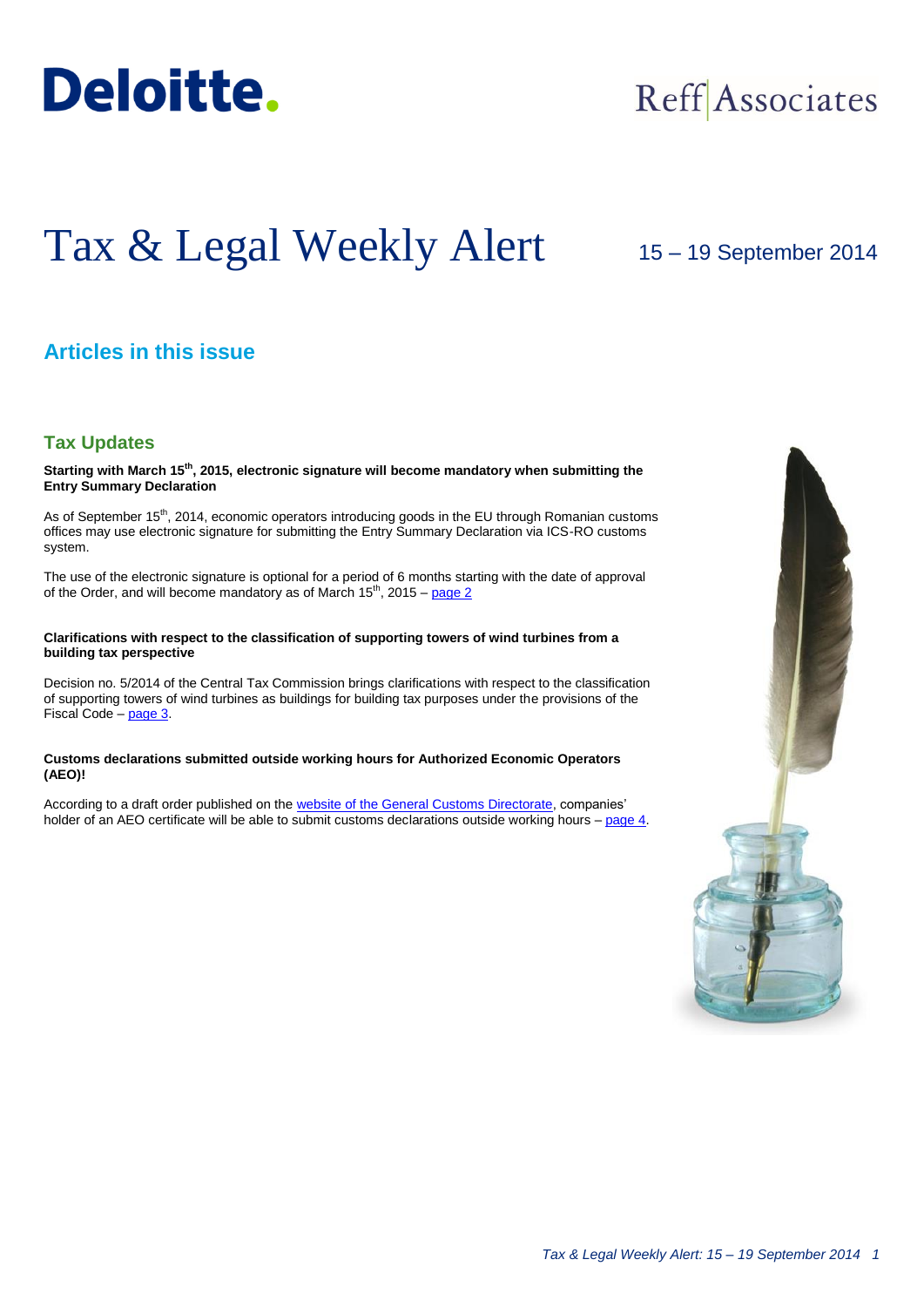

## Reff Associates

# Tax & Legal Weekly Alert

## 15 – 19 September 2014

## **Articles in this issue**

#### **Tax Updates**

**Starting with March 15th, 2015, electronic signature will become mandatory when submitting the Entry Summary Declaration**

As of September 15<sup>th</sup>, 2014, economic operators introducing goods in the EU through Romanian customs offices may use electronic signature for submitting the Entry Summary Declaration via ICS-RO customs system.

The use of the electronic signature is optional for a period of 6 months starting with the date of approval of the Order, and will become mandatory as of March  $15<sup>th</sup>$ , 2015 – [page 2](#page-1-0)

#### **Clarifications with respect to the classification of supporting towers of wind turbines from a building tax perspective**

Decision no. 5/2014 of the Central Tax Commission brings clarifications with respect to the classification of supporting towers of wind turbines as buildings for building tax purposes under the provisions of the Fiscal Code – [page 3.](#page-2-0)

#### **Customs declarations submitted outside working hours for Authorized Economic Operators (AEO)!**

According to a draft order published on the [website of the General Customs Directorate,](http://www.customs.ro/) companies' holder of an AEO certificate will be able to submit customs declarations outside working hours – [page 4.](#page-3-0)

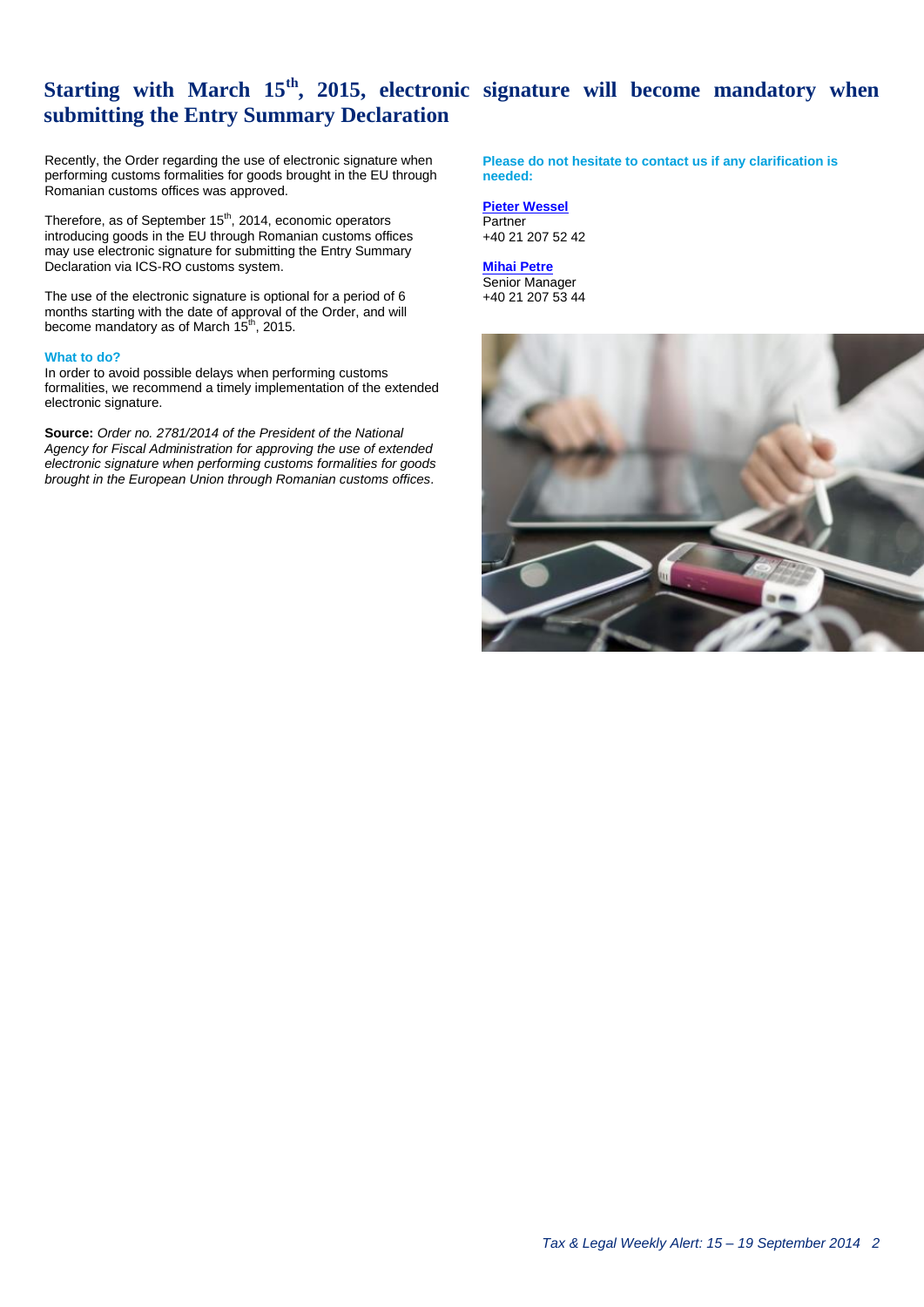## <span id="page-1-0"></span>**Starting with March 15th, 2015, electronic signature will become mandatory when submitting the Entry Summary Declaration**

Recently, the Order regarding the use of electronic signature when performing customs formalities for goods brought in the EU through Romanian customs offices was approved.

Therefore, as of September 15<sup>th</sup>, 2014, economic operators introducing goods in the EU through Romanian customs offices may use electronic signature for submitting the Entry Summary Declaration via ICS-RO customs system.

The use of the electronic signature is optional for a period of 6 months starting with the date of approval of the Order, and will become mandatory as of March 15<sup>th</sup>, 2015.

#### **What to do?**

In order to avoid possible delays when performing customs formalities, we recommend a timely implementation of the extended electronic signature.

**Source:** *Order no. 2781/2014 of the President of the National Agency for Fiscal Administration for approving the use of extended electronic signature when performing customs formalities for goods brought in the European Union through Romanian customs offices.*

**Please do not hesitate to contact us if any clarification is needed:**

**[Pieter Wessel](mailto:pwessel@deloittece.com)** Partner +40 21 207 52 42

**[Mihai Petre](mailto:mipetre@deloittece.com)** Senior Manager +40 21 207 53 44

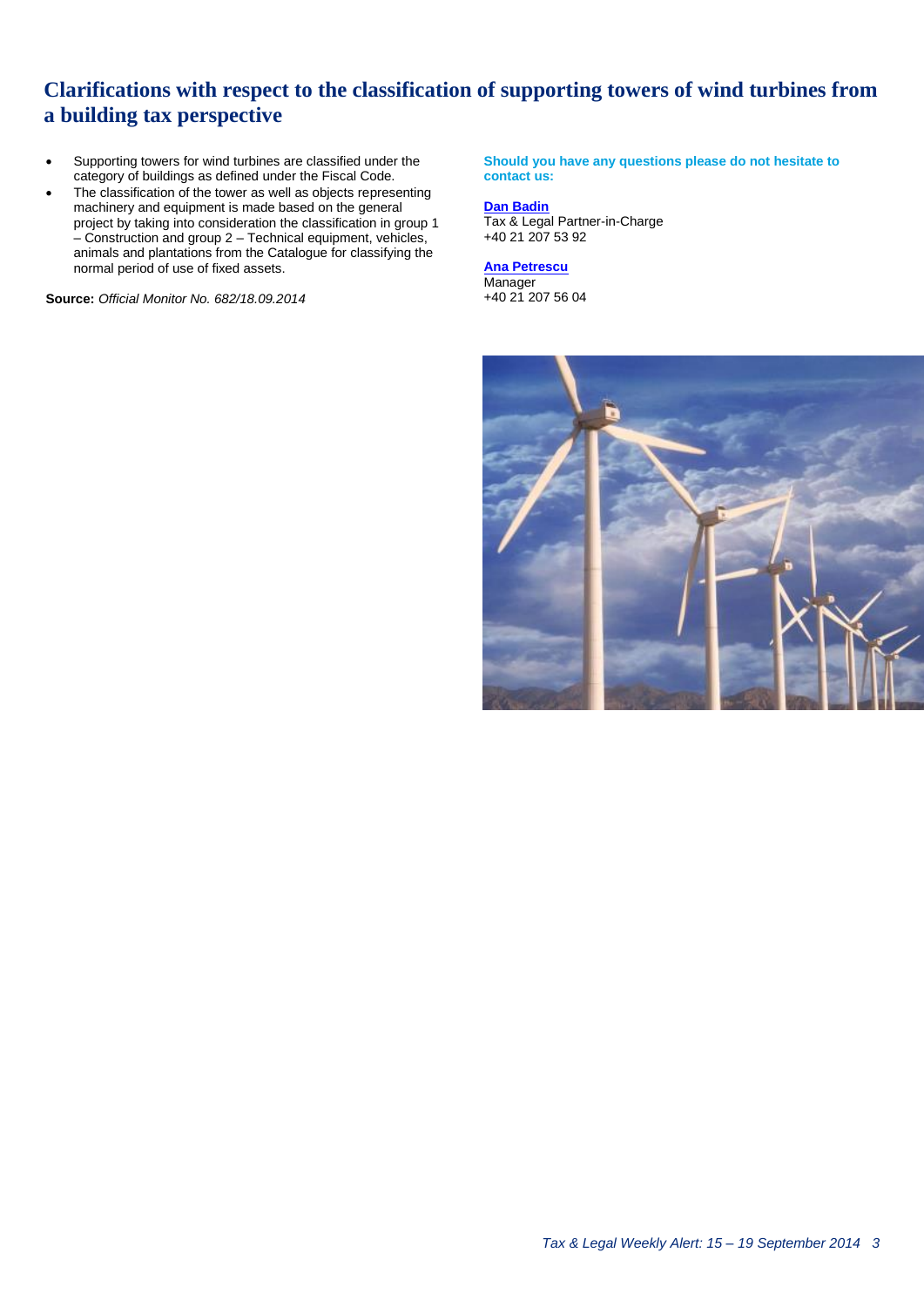## **Clarifications with respect to the classification of supporting towers of wind turbines from a building tax perspective**

- Supporting towers for wind turbines are classified under the category of buildings as defined under the Fiscal Code.
- The classification of the tower as well as objects representing machinery and equipment is made based on the general project by taking into consideration the classification in group 1 – Construction and group 2 – Technical equipment, vehicles, animals and plantations from the Catalogue for classifying the normal period of use of fixed assets.

**Source:** *Official Monitor No. 682/18.09.2014*

<span id="page-2-0"></span>**Should you have any questions please do not hesitate to contact us:**

#### **[Dan Badin](mailto:dbadin@deloittece.com)**

Tax & Legal Partner-in-Charge +40 21 207 53 92

#### **[Ana Petrescu](mailto:apetrescu@deloittece.com)**

Manager +40 21 207 56 04

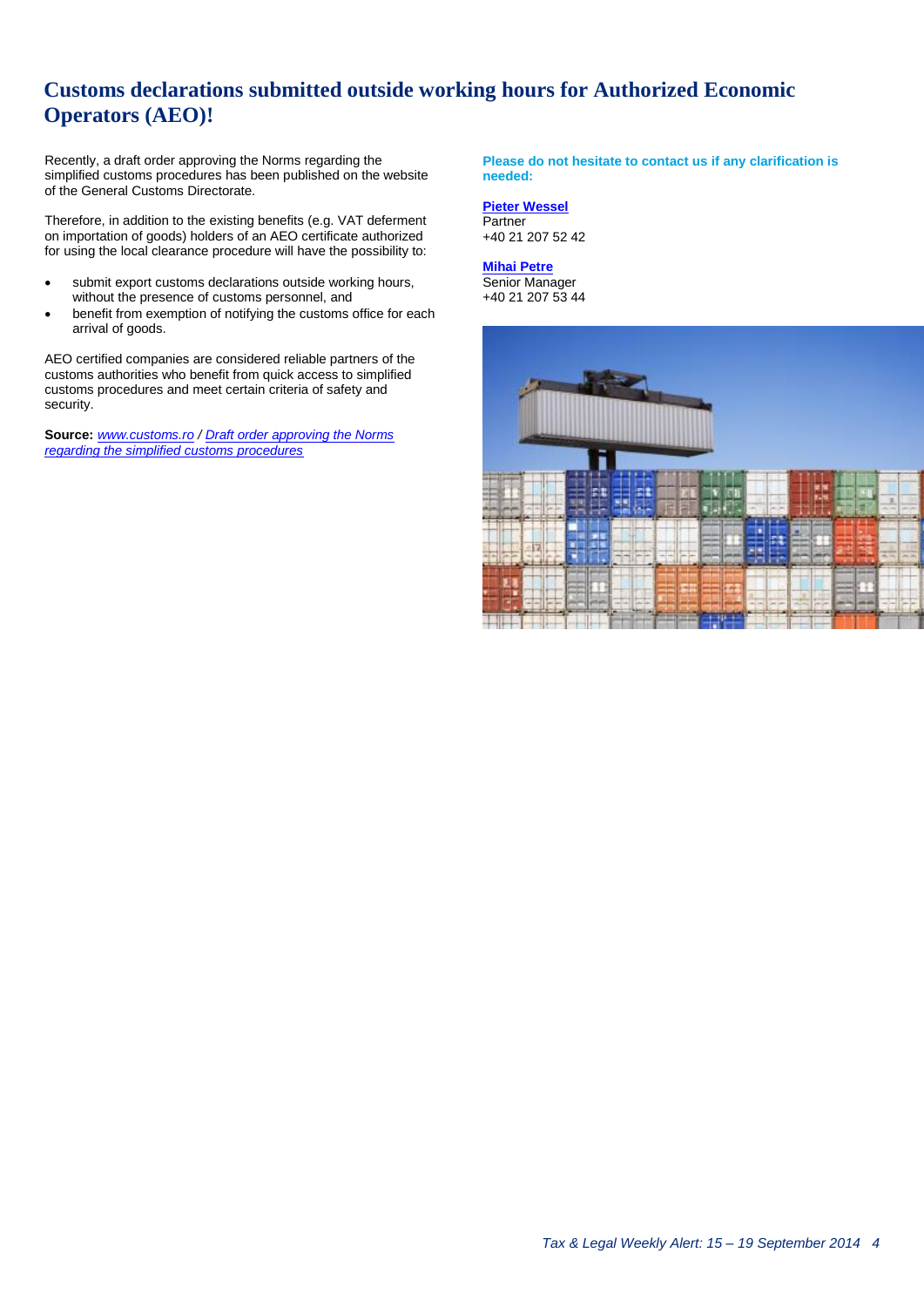## <span id="page-3-0"></span>**Customs declarations submitted outside working hours for Authorized Economic Operators (AEO)!**

Recently, a draft order approving the Norms regarding the simplified customs procedures has been published on the website of the General Customs Directorate.

Therefore, in addition to the existing benefits (e.g. VAT deferment on importation of goods) holders of an AEO certificate authorized for using the local clearance procedure will have the possibility to:

- submit export customs declarations outside working hours, without the presence of customs personnel, and
- benefit from exemption of notifying the customs office for each arrival of goods.

AEO certified companies are considered reliable partners of the customs authorities who benefit from quick access to simplified customs procedures and meet certain criteria of safety and security.

**Source:** *[www.customs.ro](http://www.customs.ro/) / [Draft order approving the Norms](http://www.customs.ro/UserFiles/File/comunicate%20de%20presa/proiect%20ordin%20PS%20pentru%20publicare%20pe%20site%20-%20iulie%202014.doc)  [regarding the simplified customs procedures](http://www.customs.ro/UserFiles/File/comunicate%20de%20presa/proiect%20ordin%20PS%20pentru%20publicare%20pe%20site%20-%20iulie%202014.doc)*

**Please do not hesitate to contact us if any clarification is needed:**

**[Pieter Wessel](mailto:pwessel@deloittece.com)** Partner +40 21 207 52 42

### **[Mihai Petre](mailto:mipetre@deloittece.com)**

Senior Manager +40 21 207 53 44